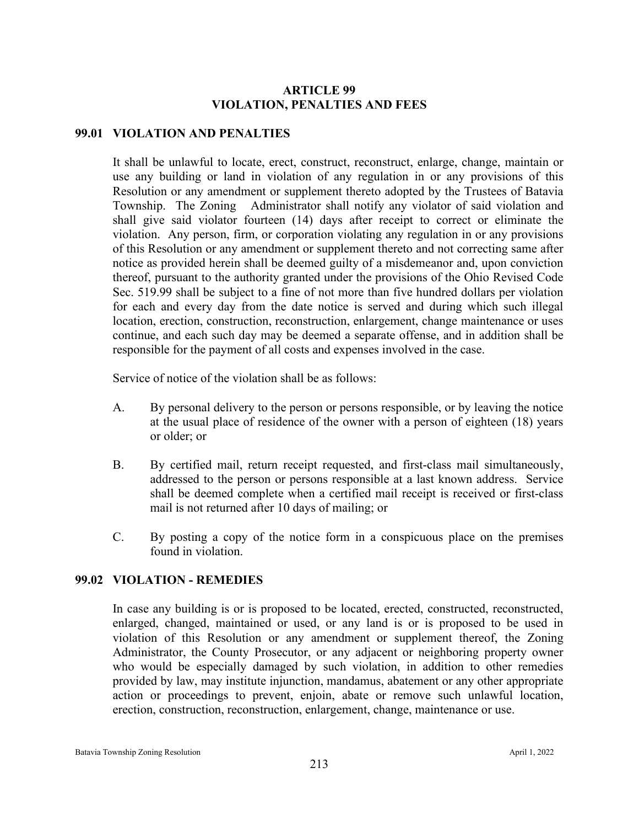# **ARTICLE 99 VIOLATION, PENALTIES AND FEES**

### **99.01 VIOLATION AND PENALTIES**

It shall be unlawful to locate, erect, construct, reconstruct, enlarge, change, maintain or use any building or land in violation of any regulation in or any provisions of this Resolution or any amendment or supplement thereto adopted by the Trustees of Batavia Township. The Zoning Administrator shall notify any violator of said violation and shall give said violator fourteen (14) days after receipt to correct or eliminate the violation. Any person, firm, or corporation violating any regulation in or any provisions of this Resolution or any amendment or supplement thereto and not correcting same after notice as provided herein shall be deemed guilty of a misdemeanor and, upon conviction thereof, pursuant to the authority granted under the provisions of the Ohio Revised Code Sec. 519.99 shall be subject to a fine of not more than five hundred dollars per violation for each and every day from the date notice is served and during which such illegal location, erection, construction, reconstruction, enlargement, change maintenance or uses continue, and each such day may be deemed a separate offense, and in addition shall be responsible for the payment of all costs and expenses involved in the case.

Service of notice of the violation shall be as follows:

- A. By personal delivery to the person or persons responsible, or by leaving the notice at the usual place of residence of the owner with a person of eighteen (18) years or older; or
- B. By certified mail, return receipt requested, and first-class mail simultaneously, addressed to the person or persons responsible at a last known address. Service shall be deemed complete when a certified mail receipt is received or first-class mail is not returned after 10 days of mailing; or
- C. By posting a copy of the notice form in a conspicuous place on the premises found in violation.

# **99.02 VIOLATION - REMEDIES**

In case any building is or is proposed to be located, erected, constructed, reconstructed, enlarged, changed, maintained or used, or any land is or is proposed to be used in violation of this Resolution or any amendment or supplement thereof, the Zoning Administrator, the County Prosecutor, or any adjacent or neighboring property owner who would be especially damaged by such violation, in addition to other remedies provided by law, may institute injunction, mandamus, abatement or any other appropriate action or proceedings to prevent, enjoin, abate or remove such unlawful location, erection, construction, reconstruction, enlargement, change, maintenance or use.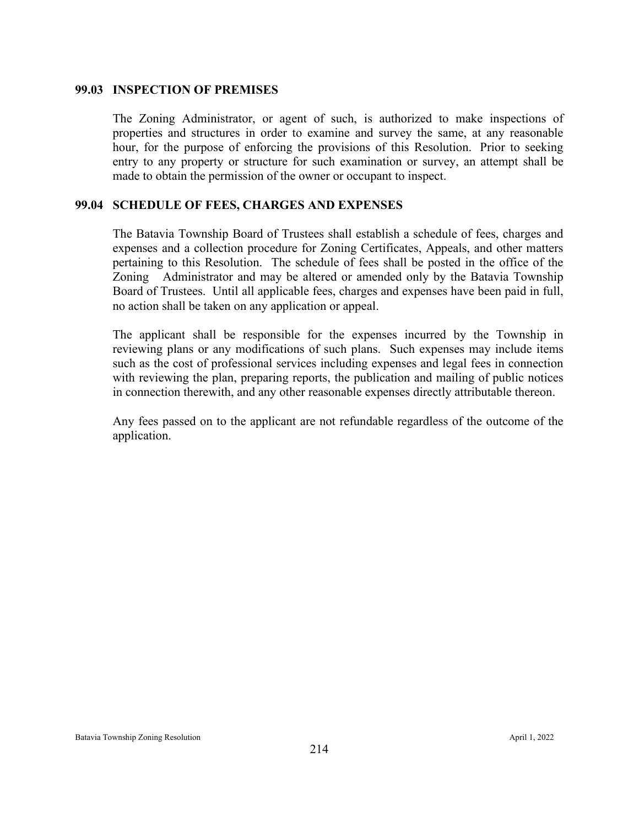### **99.03 INSPECTION OF PREMISES**

The Zoning Administrator, or agent of such, is authorized to make inspections of properties and structures in order to examine and survey the same, at any reasonable hour, for the purpose of enforcing the provisions of this Resolution. Prior to seeking entry to any property or structure for such examination or survey, an attempt shall be made to obtain the permission of the owner or occupant to inspect.

### **99.04 SCHEDULE OF FEES, CHARGES AND EXPENSES**

The Batavia Township Board of Trustees shall establish a schedule of fees, charges and expenses and a collection procedure for Zoning Certificates, Appeals, and other matters pertaining to this Resolution. The schedule of fees shall be posted in the office of the Zoning Administrator and may be altered or amended only by the Batavia Township Board of Trustees. Until all applicable fees, charges and expenses have been paid in full, no action shall be taken on any application or appeal.

The applicant shall be responsible for the expenses incurred by the Township in reviewing plans or any modifications of such plans. Such expenses may include items such as the cost of professional services including expenses and legal fees in connection with reviewing the plan, preparing reports, the publication and mailing of public notices in connection therewith, and any other reasonable expenses directly attributable thereon.

Any fees passed on to the applicant are not refundable regardless of the outcome of the application.